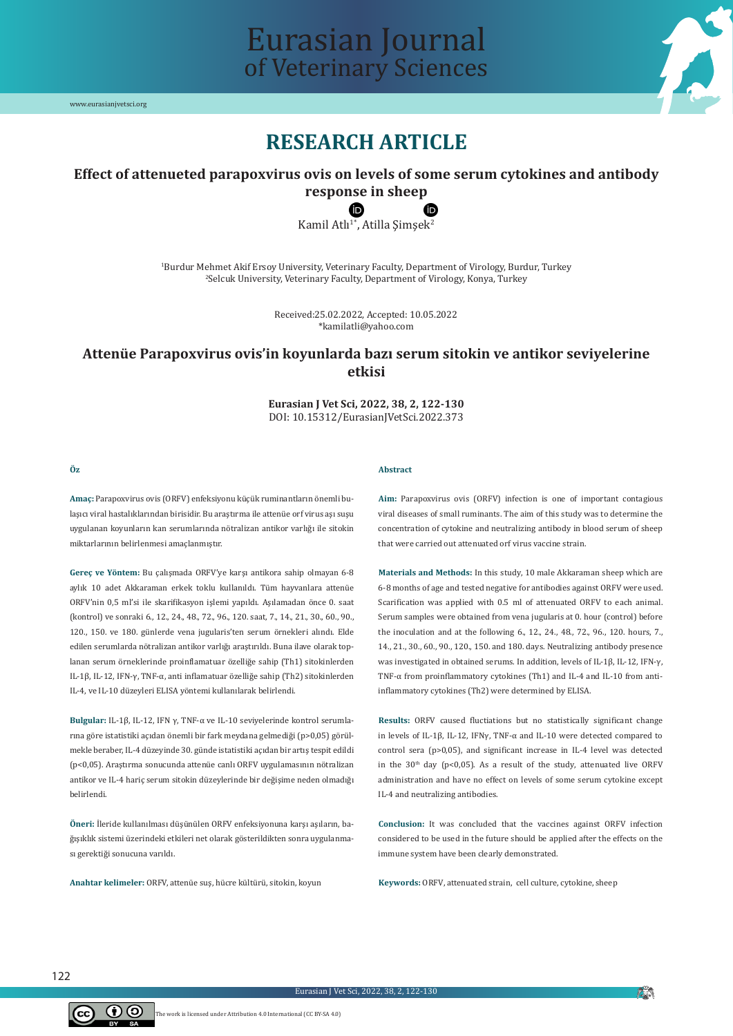

## Eurasian Journal of Veterinary Sciences

### **RESEARCH ARTICLE**

#### **Effect of attenueted parapoxvirus ovis on levels of some serum cytokines and antibody response in sheep**

# **C**<br>Kamil Atlı<sup>1\*</sup>, Atilla Şimşek<sup>2</sup>

1 Burdur Mehmet Akif Ersoy University, Veterinary Faculty, Department of Virology, Burdur, Turkey 2 Selcuk University, Veterinary Faculty, Department of Virology, Konya, Turkey

> Received:25.02.2022, Accepted: 10.05.2022 \*kamilatli@yahoo.com

#### **Attenüe Parapoxvirus ovis'in koyunlarda bazı serum sitokin ve antikor seviyelerine etkisi**

**Eurasian J Vet Sci, 2022, 38, 2, 122-130** DOI: 10.15312/EurasianJVetSci.2022.373

#### **Öz**

#### **Abstract**

**Amaç:** Parapoxvirus ovis (ORFV) enfeksiyonu küçük ruminantların önemli bulaşıcı viral hastalıklarından birisidir. Bu araştırma ile attenüe orf virus aşı suşu uygulanan koyunların kan serumlarında nötralizan antikor varlığı ile sitokin miktarlarının belirlenmesi amaçlanmıştır.

**Gereç ve Yöntem:** Bu çalışmada ORFV'ye karşı antikora sahip olmayan 6-8 aylık 10 adet Akkaraman erkek toklu kullanıldı. Tüm hayvanlara attenüe ORFV'nin 0,5 ml'si ile skarifikasyon işlemi yapıldı. Aşılamadan önce 0. saat (kontrol) ve sonraki 6., 12., 24., 48., 72., 96., 120. saat, 7., 14., 21., 30., 60., 90., 120., 150. ve 180. günlerde vena jugularis'ten serum örnekleri alındı. Elde edilen serumlarda nötralizan antikor varlığı araştırıldı. Buna ilave olarak toplanan serum örneklerinde proinflamatuar özelliğe sahip (Th1) sitokinlerden IL-1β, IL-12, IFN-γ, TNF-α, anti inflamatuar özelliğe sahip (Th2) sitokinlerden IL-4, ve IL-10 düzeyleri ELISA yöntemi kullanılarak belirlendi.

**Bulgular:** IL-1β, IL-12, IFN γ, TNF-α ve IL-10 seviyelerinde kontrol serumlarına göre istatistiki açıdan önemli bir fark meydana gelmediği (p>0,05) görülmekle beraber, IL-4 düzeyinde 30. günde istatistiki açıdan bir artış tespit edildi (p<0,05). Araştırma sonucunda attenüe canlı ORFV uygulamasının nötralizan antikor ve IL-4 hariç serum sitokin düzeylerinde bir değişime neden olmadığı belirlendi.

**Öneri:** İleride kullanılması düşünülen ORFV enfeksiyonuna karşı aşıların, bağışıklık sistemi üzerindeki etkileri net olarak gösterildikten sonra uygulanması gerektiği sonucuna varıldı.

**Anahtar kelimeler:** ORFV, attenüe suş, hücre kültürü, sitokin, koyun

**Aim:** Parapoxvirus ovis (ORFV) infection is one of important contagious viral diseases of small ruminants. The aim of this study was to determine the concentration of cytokine and neutralizing antibody in blood serum of sheep that were carried out attenuated orf virus vaccine strain.

**Materials and Methods:** In this study, 10 male Akkaraman sheep which are 6-8 months of age and tested negative for antibodies against ORFV were used. Scarification was applied with 0.5 ml of attenuated ORFV to each animal. Serum samples were obtained from vena jugularis at 0. hour (control) before the inoculation and at the following 6., 12., 24., 48., 72., 96., 120. hours, 7., 14., 21., 30., 60., 90., 120., 150. and 180. days. Neutralizing antibody presence was investigated in obtained serums. In addition, levels of IL-1β, IL-12, IFN-γ, TNF-α from proinflammatory cytokines (Th1) and IL-4 and IL-10 from antiinflammatory cytokines (Th2) were determined by ELISA.

**Results:** ORFV caused fluctiations but no statistically significant change in levels of IL-1β, IL-12, IFNγ, TNF-α and IL-10 were detected compared to control sera (p>0,05), and significant increase in IL-4 level was detected in the  $30<sup>th</sup>$  day (p<0,05). As a result of the study, attenuated live ORFV administration and have no effect on levels of some serum cytokine except IL-4 and neutralizing antibodies.

**Conclusion:** It was concluded that the vaccines against ORFV infection considered to be used in the future should be applied after the effects on the immune system have been clearly demonstrated.

**Keywords:** ORFV, attenuated strain, cell culture, cytokine, sheep



**A**N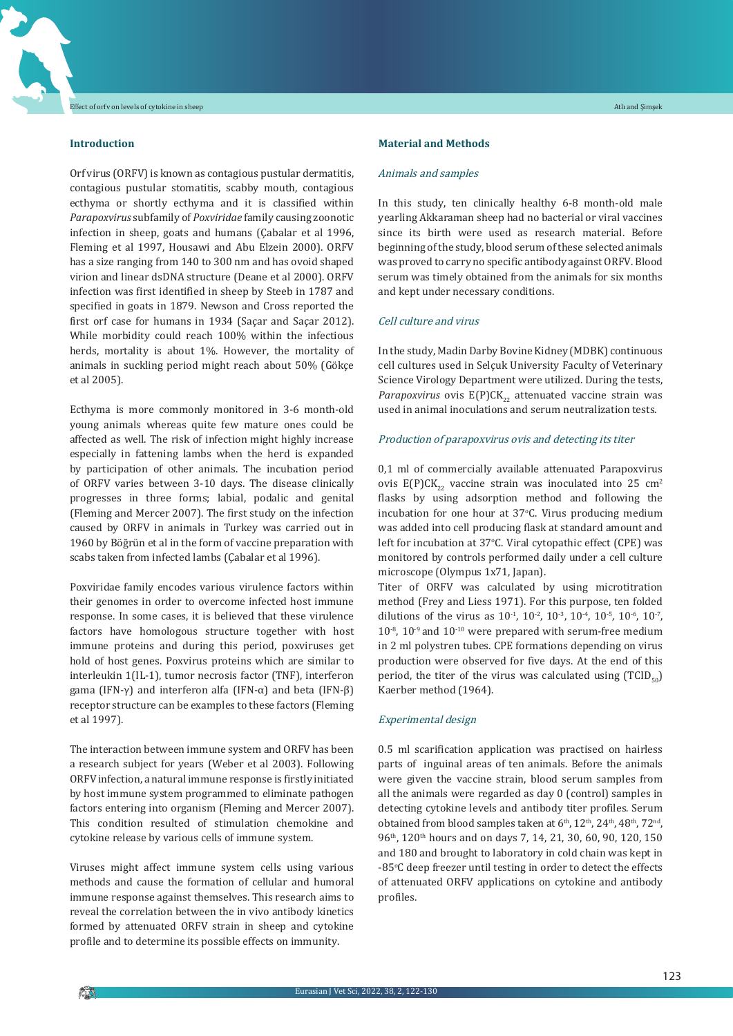#### **Introduction**

Orf virus (ORFV) is known as contagious pustular dermatitis, contagious pustular stomatitis, scabby mouth, contagious ecthyma or shortly ecthyma and it is classified within *Parapoxvirus* subfamily of *Poxviridae* family causing zoonotic infection in sheep, goats and humans (Çabalar et al 1996, Fleming et al 1997, Housawi and Abu Elzein 2000). ORFV has a size ranging from 140 to 300 nm and has ovoid shaped virion and linear dsDNA structure (Deane et al 2000). ORFV infection was first identified in sheep by Steeb in 1787 and specified in goats in 1879. Newson and Cross reported the first orf case for humans in 1934 (Saçar and Saçar 2012). While morbidity could reach 100% within the infectious herds, mortality is about 1%. However, the mortality of animals in suckling period might reach about 50% (Gökçe et al 2005).

Ecthyma is more commonly monitored in 3-6 month-old young animals whereas quite few mature ones could be affected as well. The risk of infection might highly increase especially in fattening lambs when the herd is expanded by participation of other animals. The incubation period of ORFV varies between 3-10 days. The disease clinically progresses in three forms; labial, podalic and genital (Fleming and Mercer 2007). The first study on the infection caused by ORFV in animals in Turkey was carried out in 1960 by Böğrün et al in the form of vaccine preparation with scabs taken from infected lambs (Çabalar et al 1996).

Poxviridae family encodes various virulence factors within their genomes in order to overcome infected host immune response. In some cases, it is believed that these virulence factors have homologous structure together with host immune proteins and during this period, poxviruses get hold of host genes. Poxvirus proteins which are similar to interleukin 1(IL-1), tumor necrosis factor (TNF), interferon gama (IFN-γ) and interferon alfa (IFN-α) and beta (IFN-β) receptor structure can be examples to these factors (Fleming et al 1997).

The interaction between immune system and ORFV has been a research subject for years (Weber et al 2003). Following ORFV infection, a natural immune response is firstly initiated by host immune system programmed to eliminate pathogen factors entering into organism (Fleming and Mercer 2007). This condition resulted of stimulation chemokine and cytokine release by various cells of immune system.

Viruses might affect immune system cells using various methods and cause the formation of cellular and humoral immune response against themselves. This research aims to reveal the correlation between the in vivo antibody kinetics formed by attenuated ORFV strain in sheep and cytokine profile and to determine its possible effects on immunity.

#### **Material and Methods**

#### Animals and samples

In this study, ten clinically healthy 6-8 month-old male yearling Akkaraman sheep had no bacterial or viral vaccines since its birth were used as research material. Before beginning of the study, blood serum of these selected animals was proved to carry no specific antibody against ORFV. Blood serum was timely obtained from the animals for six months and kept under necessary conditions.

#### Cell culture and virus

In the study, MadinDarby Bovine Kidney (MDBK) continuous cell cultures used in Selçuk University Faculty of Veterinary Science Virology Department were utilized. During the tests, Parapoxvirus ovis E(P)CK<sub>22</sub> attenuated vaccine strain was used in animal inoculations and serum neutralization tests.

#### Production of parapoxvirus ovis and detecting its titer

0,1 ml of commercially available attenuated Parapoxvirus ovis  $E(P)CK_{22}$  vaccine strain was inoculated into 25 cm<sup>2</sup> flasks by using adsorption method and following the incubation for one hour at 37<sup>o</sup> C. Virus producing medium was added into cell producing flask at standard amount and left for incubation at 37°C. Viral cytopathic effect (CPE) was monitored by controls performed daily under a cell culture microscope (Olympus 1x71, Japan).

Titer of ORFV was calculated by using microtitration method (Frey and Liess 1971). For this purpose, ten folded dilutions of the virus as  $10^{-1}$ ,  $10^{-2}$ ,  $10^{-3}$ ,  $10^{-4}$ ,  $10^{-5}$ ,  $10^{-6}$ ,  $10^{-7}$ ,  $10^{-8}$ ,  $10^{-9}$  and  $10^{-10}$  were prepared with serum-free medium in 2 ml polystren tubes. CPE formations depending on virus production were observed for five days. At the end of this period, the titer of the virus was calculated using  $(TCID_{\epsilon_0})$ Kaerber method (1964).

#### Experimental design

0.5 ml scarification application was practised on hairless parts of inguinal areas of ten animals. Before the animals were given the vaccine strain, blood serum samples from all the animals were regarded as day 0 (control) samples in detecting cytokine levels and antibody titer profiles. Serum obtained from blood samples taken at 6<sup>th</sup>, 12<sup>th</sup>, 24<sup>th</sup>, 48<sup>th</sup>, 72<sup>nd</sup>, 96<sup>th</sup>, 120<sup>th</sup> hours and on days 7, 14, 21, 30, 60, 90, 120, 150 and 180 and brought to laboratory in cold chain was kept in -85°C deep freezer until testing in order to detect the effects of attenuated ORFV applications on cytokine and antibody profiles.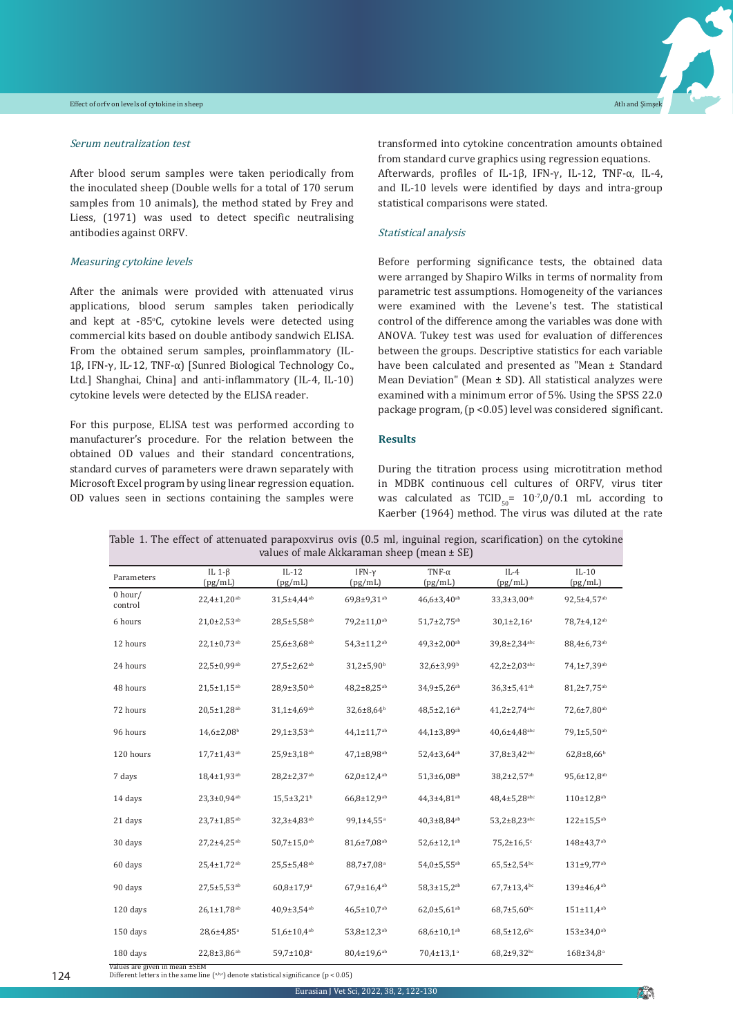#### Serum neutralization test

After blood serum samples were taken periodically from the inoculated sheep (Double wells for a total of 170 serum samples from 10 animals), the method stated by Frey and Liess, (1971) was used to detect specific neutralising antibodies against ORFV.

#### Measuring cytokine levels

After the animals were provided with attenuated virus applications, blood serum samples taken periodically and kept at -85°C, cytokine levels were detected using commercial kits based on double antibody sandwich ELISA. From the obtained serum samples, proinflammatory (IL-1β, IFN-γ, IL-12, TNF-α) [Sunred Biological Technology Co., Ltd.] Shanghai, China] and anti-inflammatory (IL-4, IL-10) cytokine levels were detected by the ELISA reader.

For this purpose, ELISA test was performed according to manufacturer's procedure. For the relation between the obtained OD values and their standard concentrations, standard curves of parameters were drawn separately with Microsoft Excel program by using linear regression equation. OD values seen in sections containing the samples were transformed into cytokine concentration amounts obtained from standard curve graphics using regression equations. Afterwards, profiles of IL-1β, IFN-γ, IL-12, TNF-α, IL-4, and IL-10 levels were identified by days and intra-group statistical comparisons were stated.

#### Statistical analysis

Before performing significance tests, the obtained data were arranged by Shapiro Wilks in terms of normality from parametric test assumptions. Homogeneity of the variances were examined with the Levene's test. The statistical control of the difference among the variables was done with ANOVA. Tukey test was used for evaluation of differences between the groups. Descriptive statistics for each variable have been calculated and presented as "Mean ± Standard Mean Deviation" (Mean  $\pm$  SD). All statistical analyzes were examined with a minimum error of 5%. Using the SPSS 22.0 package program,(p <0.05)level was considered significant.

#### **Results**

During the titration process using microtitration method in MDBK continuous cell cultures of ORFV, virus titer was calculated as TCID<sub>50</sub>=  $10^{-7}$ ,0/0.1 mL according to Kaerber (1964) method. The virus was diluted at the rate

| Parameters         | IL $1-\beta$<br>(pg/mL)       | $IL-12$<br>(pg/mL)            | IFN- $\gamma$<br>(pg/mL)      | TNF- $\alpha$<br>(pg/mL)     | $IL-4$<br>(pg/mL)         | $IL-10$<br>(pg/mL)           |  |
|--------------------|-------------------------------|-------------------------------|-------------------------------|------------------------------|---------------------------|------------------------------|--|
| 0 hour/<br>control | $22,4 \pm 1,20^{ab}$          | 31,5±4,44 <sup>ab</sup>       | 69.8±9.31 <sup>ab</sup>       | $46.6 \pm 3.40^{ab}$         | $33,3{\pm}3,00^{ab}$      | 92,5±4,57 <sup>ab</sup>      |  |
| 6 hours            | $21,0+2,53^{ab}$              | $28,5{\pm}5,58^{ab}$          | 79,2±11,0 <sup>ab</sup>       | 51,7±2,75 <sup>ab</sup>      | $30,1\pm2,16^a$           | 78,7±4,12 <sup>ab</sup>      |  |
| 12 hours           | $22.1 \pm 0.73$ <sup>ab</sup> | $25,6{\pm}3,68^{ab}$          | 54,3±11,2 <sup>ab</sup>       | $49,3 \pm 2,00^{ab}$         | 39,8±2,34abc              | 88,4±6,73 <sup>ab</sup>      |  |
| 24 hours           | 22,5±0,99ab                   | $27,5 \pm 2,62^{ab}$          | $31,2{\pm}5,90^{\rm b}$       | 32,6±3,99 <sup>b</sup>       | $42,2{\pm}2,03^{\rm abc}$ | 74,1±7,39ab                  |  |
| 48 hours           | $21,5 \pm 1,15^{ab}$          | $28,9{\pm}3,50^{\rm ab}$      | $48,2{\pm}8,25^{ab}$          | 34,9±5,26 <sup>ab</sup>      | $36,3{\pm}5,41^{\rm ab}$  | $81,2{\pm}7,75^{ab}$         |  |
| 72 hours           | $20.5 \pm 1.28$ <sup>ab</sup> | $31,1\pm4,69^{ab}$            | 32,6±8,64 <sup>b</sup>        | $48,5 \pm 2,16^{ab}$         | $41,2{\pm}2,74^{\rm abc}$ | 72,6±7,80 <sup>ab</sup>      |  |
| 96 hours           | $14,6{\pm}2,08^{\rm b}$       | $29,1\pm3,53^{ab}$            | 44,1±11,7 <sup>ab</sup>       | 44,1±3,89 <sup>ab</sup>      | 40,6±4,48abc              | 79,1±5,50 <sup>ab</sup>      |  |
| 120 hours          | $17,7 \pm 1,43$ <sup>ab</sup> | 25,9±3,18 <sup>ab</sup>       | 47,1±8,98 <sup>ab</sup>       | 52,4±3,64 <sup>ab</sup>      | 37,8±3,42abc              | $62,8+8,66^b$                |  |
| 7 days             | 18,4±1,93 <sup>ab</sup>       | $28,2{\pm}2,37^{ab}$          | $62,0 \pm 12,4^{ab}$          | $51,3{\pm}6,08^{ab}$         | 38,2±2,57 <sup>ab</sup>   | 95,6±12,8 <sup>ab</sup>      |  |
| 14 days            | $23.3 \pm 0.94$ <sup>ab</sup> | $15,5+3,21b$                  | 66,8±12,9 <sup>ab</sup>       | 44,3±4,81 <sup>ab</sup>      | 48,4±5,28abc              | 110±12,8 <sup>ab</sup>       |  |
| 21 days            | 23,7±1,85 <sup>ab</sup>       | 32,3±4,83 <sup>ab</sup>       | 99,1±4,55 <sup>a</sup>        | $40,3 \pm 8,84^{ab}$         | 53,2±8,23abc              | $122 \pm 15.5^{ab}$          |  |
| 30 days            | $27,2 \pm 4,25^{ab}$          | $50,7 \pm 15,0$ <sup>ab</sup> | 81,6±7,08 <sup>ab</sup>       | 52,6±12,1 <sup>ab</sup>      | $75,2{\pm}16,5^{\circ}$   | 148±43,7 <sup>ab</sup>       |  |
| 60 days            | 25,4±1,72 <sup>ab</sup>       | $25,5+5,48^{ab}$              | 88,7±7,08ª                    | 54,0±5,55 <sup>ab</sup>      | $65,5{\pm}2,54^{bc}$      | 131±9,77 <sup>ab</sup>       |  |
| 90 days            | $27,5 \pm 5,53$ <sup>ab</sup> | $60,8{\pm}17,9^{\rm a}$       | $67,9{\pm}16,4^{ab}$          | $58,3 \pm 15,2^{ab}$         | $67,7 \pm 13,4^{bc}$      | 139±46,4 <sup>ab</sup>       |  |
| 120 days           | $26,1 \pm 1,78$ <sup>ab</sup> | $40,9\pm3,54^{\mathrm{ab}}$   | $46,5 \pm 10,7$ <sup>ab</sup> | $62,0{\pm}5,61^{\rm ab}$     | $68,7{\pm}5,60^{\rm bc}$  | $151 \pm 11,4^{ab}$          |  |
| 150 days           | 28,6±4,85 <sup>a</sup>        | $51,6{\pm 10,4^{ab}}$         | 53,8±12,3 <sup>ab</sup>       | $68,6{\pm}10,1^{\rm ab}$     | $68,5 \pm 12,6$ bc        | $153 \pm 34.0$ <sup>ab</sup> |  |
| 180 days           | $22,8 \pm 3,86^{ab}$          | 59,7±10,8 <sup>a</sup>        | $80,4{\pm}19,6^{ab}$          | $70,4 \pm 13,1$ <sup>a</sup> | $68,2{\pm}9,32^{bc}$      | $168 \pm 34.8^a$             |  |

|                                                |  |  | Table 1. The effect of attenuated parapoxvirus ovis (0.5 ml, inguinal region, scarification) on the cytokine |  |  |  |  |  |  |  |  |
|------------------------------------------------|--|--|--------------------------------------------------------------------------------------------------------------|--|--|--|--|--|--|--|--|
| values of male Akkaraman sheep (mean $\pm$ SE) |  |  |                                                                                                              |  |  |  |  |  |  |  |  |

**PO**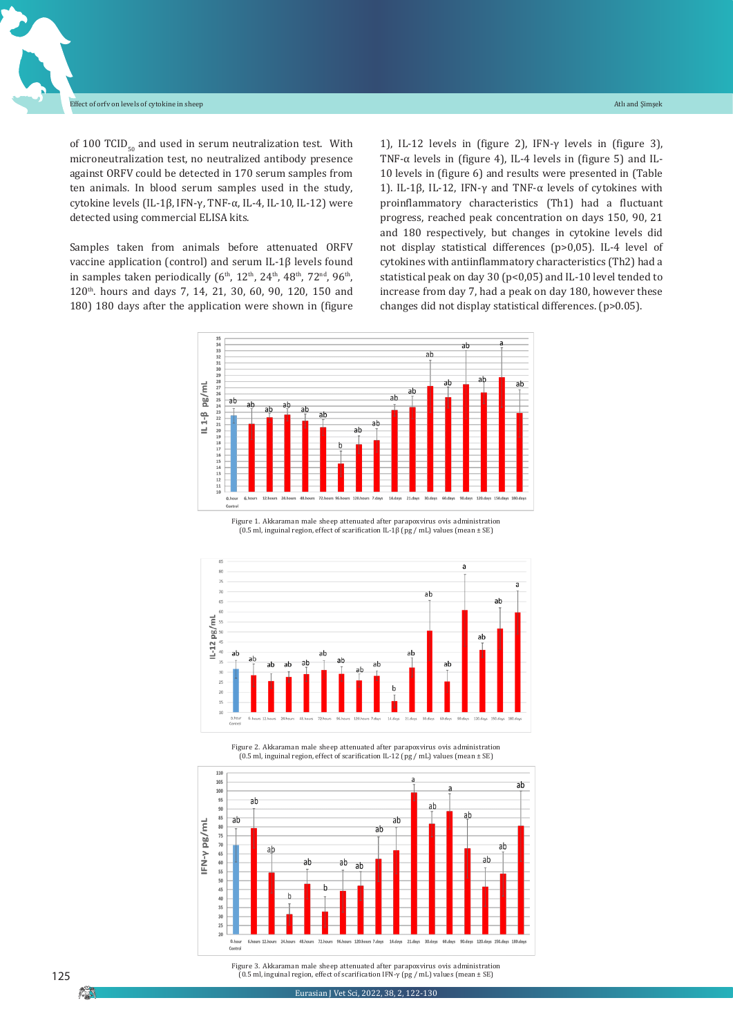of 100 TCID $_{50}$  and used in serum neutralization test. With microneutralization test, no neutralized antibody presence against ORFV could be detected in 170 serum samples from ten animals. In blood serum samples used in the study, cytokine levels (IL-1β, IFN-γ, TNF-α, IL-4, IL-10, IL-12) were detected using commercial ELISA kits.

Samples taken from animals before attenuated ORFV vaccine application (control) and serum IL-1β levels found in samples taken periodically  $(6<sup>th</sup>, 12<sup>th</sup>, 24<sup>th</sup>, 48<sup>th</sup>, 72<sup>nd</sup>, 96<sup>th</sup>)$ 120th. hours and days 7, 14, 21, 30, 60, 90, 120, 150 and 180) 180 days after the application were shown in (figure

1), IL-12 levels in (figure 2), IFN- $\gamma$  levels in (figure 3), TNF- $\alpha$  levels in (figure 4), IL-4 levels in (figure 5) and IL-10 levels in (figure 6) and results were presented in (Table 1). IL-1β, IL-12, IFN-γ and TNF-α levels of cytokines with proinflammatory characteristics (Th1) had a fluctuant progress, reached peak concentration on days 150, 90, 21 and 180 respectively, but changes in cytokine levels did not display statistical differences (p>0,05). IL-4 level of cytokines with antiinflammatory characteristics (Th2) had a statistical peak on day 30 (p<0,05) and IL-10 level tended to increase from day 7, had a peak on day 180, however these changes did not display statistical differences. (p>0.05).



Figure 1. Akkaraman male sheep attenuated after parapoxvirus ovis administration (0.5 ml, inguinal region, effect of scarification IL-1β (pg / mL) values (mean ± SE)



Figure 2. Akkaraman male sheep attenuated after parapoxvirus ovis administration (0.5 ml, inguinal region, effect of scarification IL-12 (pg / mL) values (mean ± SE)



Figure 3. Akkaraman male sheep attenuated after parapoxvirus ovis administration (0.5 ml, inguinal region, effect of scarification IFN-γ (pg / mL) values (mean ± SE)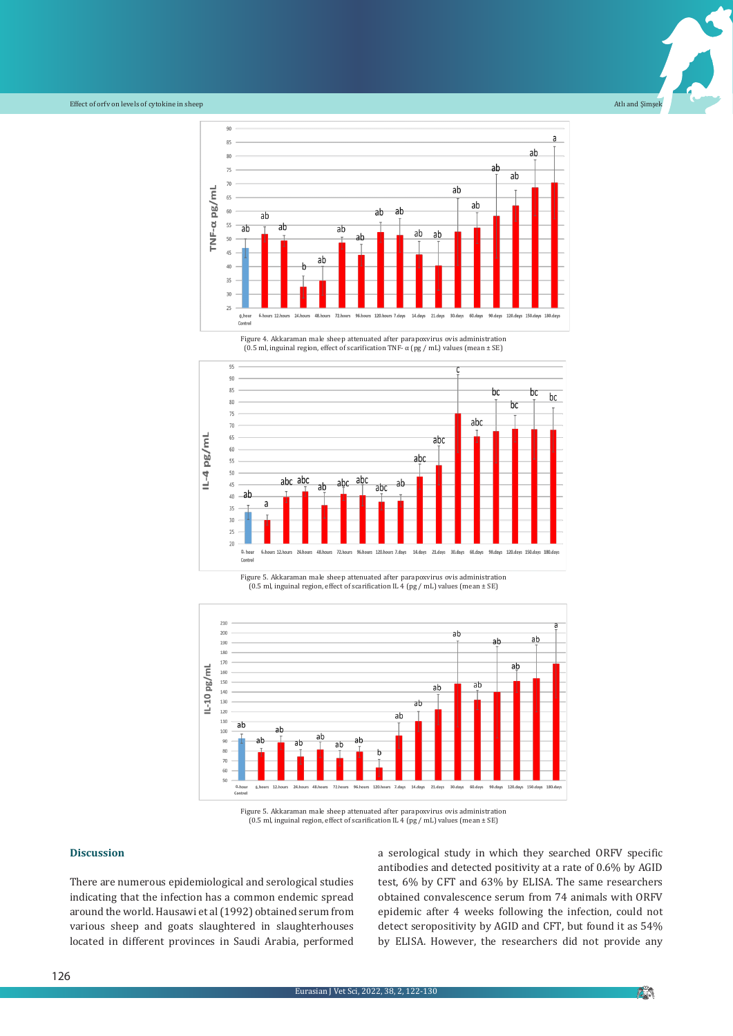



(0.5 ml, inguinal region, effect of scarification TNF- α (pg / mL) values (mean ± SE)







Figure 5. Akkaraman male sheep attenuated after parapoxvirus ovis administration (0.5 ml, inguinal region, effect of scarification IL 4 (pg / mL) values (mean ± SE)

#### **Discussion**

There are numerous epidemiological and serological studies indicating that the infection has a common endemic spread around the world. Hausawi et al (1992) obtained serum from various sheep and goats slaughtered in slaughterhouses located in different provinces in Saudi Arabia, performed a serological study in which they searched ORFV specific antibodies and detected positivity at a rate of 0.6% by AGID test, 6% by CFT and 63% by ELISA. The same researchers obtained convalescence serum from 74 animals with ORFV epidemic after 4 weeks following the infection, could not detect seropositivity by AGID and CFT, but found it as 54% by ELISA. However, the researchers did not provide any

**PO**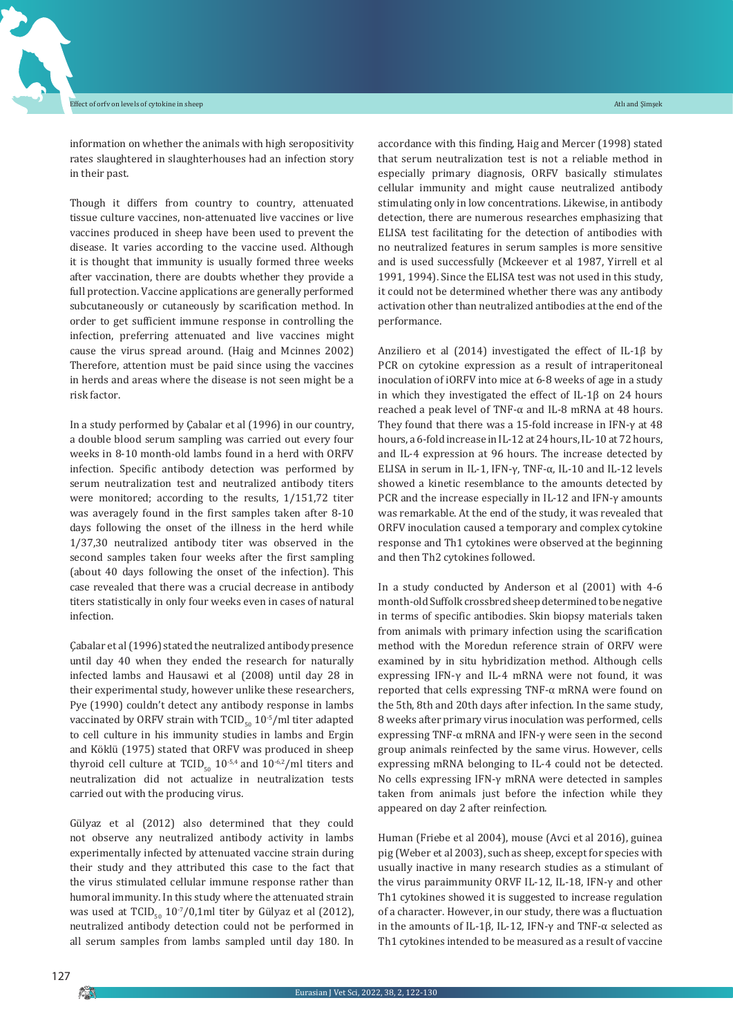information on whether the animals with high seropositivity rates slaughtered in slaughterhouses had an infection story in their past.

Though it differs from country to country, attenuated tissue culture vaccines, non-attenuated live vaccines or live vaccines produced in sheep have been used to prevent the disease. It varies according to the vaccine used. Although it is thought that immunity is usually formed three weeks after vaccination, there are doubts whether they provide a full protection. Vaccine applications are generally performed subcutaneously or cutaneously by scarification method. In order to get sufficient immune response in controlling the infection, preferring attenuated and live vaccines might cause the virus spread around. (Haig and Mcinnes 2002) Therefore, attention must be paid since using the vaccines in herds and areas where the disease is not seen might be a risk factor.

In a study performed by Çabalar et al (1996) in our country, a double blood serum sampling was carried out every four weeks in 8-10 month-old lambs found in a herd with ORFV infection. Specific antibody detection was performed by serum neutralization test and neutralized antibody titers were monitored; according to the results, 1/151,72 titer was averagely found in the first samples taken after 8-10 days following the onset of the illness in the herd while 1/37,30 neutralized antibody titer was observed in the second samples taken four weeks after the first sampling (about 40 days following the onset of the infection). This case revealed that there was a crucial decrease in antibody titers statistically in only four weeks even in cases of natural infection.

Çabalar et al(1996) stated the neutralized antibody presence until day 40 when they ended the research for naturally infected lambs and Hausawi et al (2008) until day 28 in their experimental study, however unlike these researchers, Pye (1990) couldn't detect any antibody response in lambs vaccinated by ORFV strain with  $TCID_{50}$  10<sup>-5</sup>/ml titer adapted to cell culture in his immunity studies in lambs and Ergin and Köklü (1975) stated that ORFV was produced in sheep thyroid cell culture at  $TCID_{5,0}$  10<sup>-5,4</sup> and 10<sup>-6,2</sup>/ml titers and neutralization did not actualize in neutralization tests carried out with the producing virus.

Gülyaz et al (2012) also determined that they could not observe any neutralized antibody activity in lambs experimentally infected by attenuated vaccine strain during their study and they attributed this case to the fact that the virus stimulated cellular immune response rather than humoral immunity. In this study where the attenuated strain was used at  $TCID_{50}$  10<sup>-7</sup>/0,1ml titer by Gülyaz et al (2012), neutralized antibody detection could not be performed in all serum samples from lambs sampled until day 180. In

accordance with this finding, Haig and Mercer (1998) stated that serum neutralization test is not a reliable method in especially primary diagnosis, ORFV basically stimulates cellular immunity and might cause neutralized antibody stimulating only in low concentrations. Likewise, in antibody detection, there are numerous researches emphasizing that ELISA test facilitating for the detection of antibodies with no neutralized features in serum samples is more sensitive and is used successfully (Mckeever et al 1987, Yirrell et al 1991, 1994). Since the ELISA test was not used in this study, it could not be determined whether there was any antibody activation other than neutralized antibodies at the end of the performance.

Anziliero et al (2014) investigated the effect of IL-1β by PCR on cytokine expression as a result of intraperitoneal inoculation of iORFV into mice at 6-8 weeks of age in a study in which they investigated the effect of IL-1β on 24 hours reached a peak level of TNF-α and IL-8 mRNA at 48 hours. They found that there was a 15-fold increase in IFN-γ at 48 hours, a 6-fold increase in IL-12 at 24 hours, IL-10 at 72 hours, and IL-4 expression at 96 hours. The increase detected by ELISA in serum in IL-1, IFN-γ, TNF-α, IL-10 and IL-12 levels showed a kinetic resemblance to the amounts detected by PCR and the increase especially in IL-12 and IFN-γ amounts was remarkable. At the end of the study, it was revealed that ORFV inoculation caused a temporary and complex cytokine response and Th1 cytokines were observed at the beginning and then Th2 cytokines followed.

In a study conducted by Anderson et al (2001) with 4-6 month-old Suffolk crossbred sheep determined to be negative in terms of specific antibodies. Skin biopsy materials taken from animals with primary infection using the scarification method with the Moredun reference strain of ORFV were examined by in situ hybridization method. Although cells expressing IFN-γ and IL-4 mRNA were not found, it was reported that cells expressing TNF-α mRNA were found on the 5th, 8th and 20th days after infection. In the same study, 8 weeks after primary virus inoculation was performed, cells expressing TNF-α mRNA and IFN-γ were seen in the second group animals reinfected by the same virus. However, cells expressing mRNA belonging to IL-4 could not be detected. No cells expressing IFN-γ mRNA were detected in samples taken from animals just before the infection while they appeared on day 2 after reinfection.

Human (Friebe et al 2004), mouse (Avci et al 2016), guinea pig (Weber et al 2003), such as sheep, except for species with usually inactive in many research studies as a stimulant of the virus paraimmunity ORVF IL-12, IL-18, IFN-γ and other Th1 cytokines showed it is suggested to increase regulation of a character. However, in our study, there was a fluctuation in the amounts of IL-1β, IL-12, IFN-γ and TNF-α selected as Th1 cytokines intended to be measured as a result of vaccine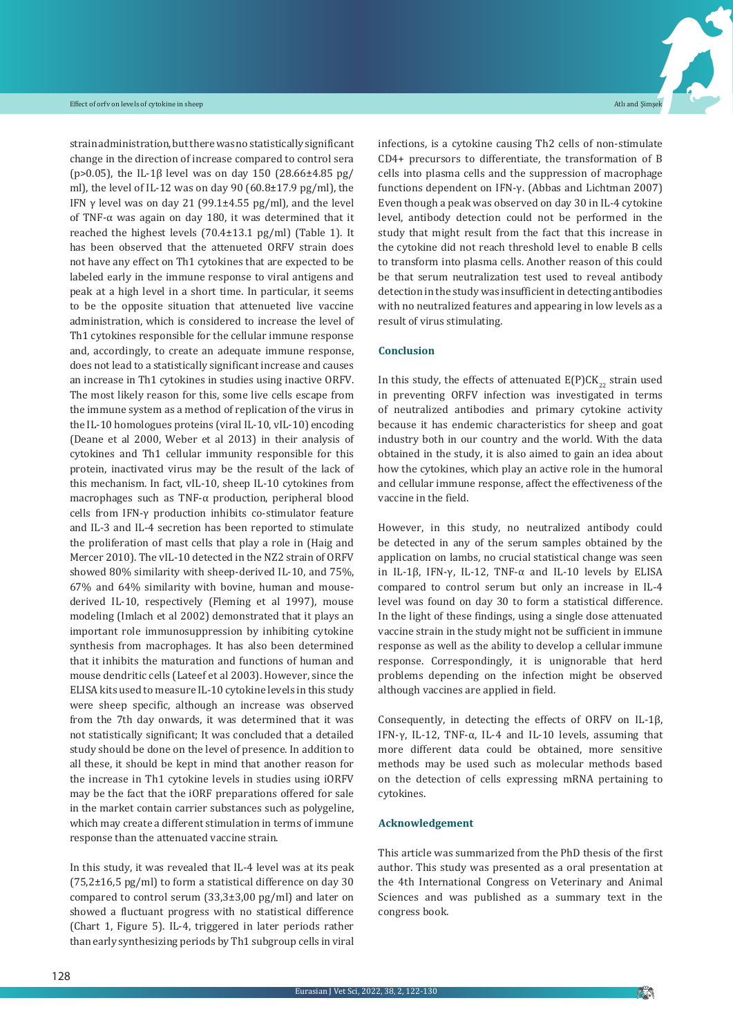strain administration, but there was no statistically significant change in the direction of increase compared to control sera (p>0.05), the IL-1β level was on day 150 (28.66±4.85 pg/ ml), the level of IL-12 was on day 90  $(60.8\pm17.9 \text{ pg/ml})$ , the IFN  $\gamma$  level was on day 21 (99.1 $\pm$ 4.55 pg/ml), and the level of TNF-α was again on day 180, it was determined that it reached the highest levels (70.4±13.1 pg/ml) (Table 1). It has been observed that the attenueted ORFV strain does not have any effect on Th1 cytokines that are expected to be labeled early in the immune response to viral antigens and peak at a high level in a short time. In particular, it seems to be the opposite situation that attenueted live vaccine administration, which is considered to increase the level of Th1 cytokines responsible for the cellular immune response and, accordingly, to create an adequate immune response, does not lead to a statistically significant increase and causes an increase in Th1 cytokines in studies using inactive ORFV. The most likely reason for this, some live cells escape from the immune system as a method of replication of the virus in the IL-10 homologues proteins (viral IL-10, vIL-10) encoding (Deane et al 2000, Weber et al 2013) in their analysis of cytokines and Th1 cellular immunity responsible for this protein, inactivated virus may be the result of the lack of this mechanism. In fact, vIL-10, sheep IL-10 cytokines from macrophages such as TNF-α production, peripheral blood cells from IFN-γ production inhibits co-stimulator feature and IL-3 and IL-4 secretion has been reported to stimulate the proliferation of mast cells that play a role in (Haig and Mercer 2010). The vIL-10 detected in the NZ2 strain of ORFV showed 80% similarity with sheep-derived IL-10, and 75%, 67% and 64% similarity with bovine, human and mousederived IL-10, respectively (Fleming et al 1997), mouse modeling (Imlach et al 2002) demonstrated that it plays an important role immunosuppression by inhibiting cytokine synthesis from macrophages. It has also been determined that it inhibits the maturation and functions of human and mouse dendritic cells (Lateef et al 2003). However, since the ELISA kits used to measure IL-10 cytokine levels in this study were sheep specific, although an increase was observed from the 7th day onwards, it was determined that it was not statistically significant; It was concluded that a detailed study should be done on the level of presence. In addition to all these, it should be kept in mind that another reason for the increase in Th1 cytokine levels in studies using iORFV may be the fact that the iORF preparations offered for sale in the market contain carrier substances such as polygeline, which may create a different stimulation in terms of immune response than the attenuated vaccine strain.

In this study, it was revealed that IL-4 level was at its peak  $(75,2\pm16,5 \text{ pg/ml})$  to form a statistical difference on day 30 compared to control serum (33,3±3,00 pg/ml) and later on showed a fluctuant progress with no statistical difference (Chart 1, Figure 5). IL-4, triggered in later periods rather than early synthesizing periods by Th1 subgroup cells in viral

infections, is a cytokine causing Th2 cells of non-stimulate CD4+ precursors to differentiate, the transformation of B cells into plasma cells and the suppression of macrophage functions dependent on IFN-γ. (Abbas and Lichtman 2007) Even though a peak was observed on day 30 in IL-4 cytokine level, antibody detection could not be performed in the study that might result from the fact that this increase in the cytokine did not reach threshold level to enable B cells to transform into plasma cells. Another reason of this could be that serum neutralization test used to reveal antibody detection in the study was insufficient in detecting antibodies with no neutralized features and appearing in low levels as a result of virus stimulating.

#### **Conclusion**

In this study, the effects of attenuated  $E(P)CK_{22}$  strain used in preventing ORFV infection was investigated in terms of neutralized antibodies and primary cytokine activity because it has endemic characteristics for sheep and goat industry both in our country and the world. With the data obtained in the study, it is also aimed to gain an idea about how the cytokines, which play an active role in the humoral and cellular immune response, affect the effectiveness of the vaccine in the field.

However, in this study, no neutralized antibody could be detected in any of the serum samples obtained by the application on lambs, no crucial statistical change was seen in IL-1β, IFN-γ, IL-12, TNF-α and IL-10 levels by ELISA compared to control serum but only an increase in IL-4 level was found on day 30 to form a statistical difference. In the light of these findings, using a single dose attenuated vaccine strain in the study might not be sufficient in immune response as well as the ability to develop a cellular immune response. Correspondingly, it is unignorable that herd problems depending on the infection might be observed although vaccines are applied in field.

Consequently, in detecting the effects of ORFV on IL-1β, IFN- $\gamma$ , IL-12, TNF- $\alpha$ , IL-4 and IL-10 levels, assuming that more different data could be obtained, more sensitive methods may be used such as molecular methods based on the detection of cells expressing mRNA pertaining to cytokines.

#### **Acknowledgement**

This article was summarized from the PhD thesis of the first author. This study was presented as a oral presentation at the 4th International Congress on Veterinary and Animal Sciences and was published as a summary text in the congress book.

**Pi**n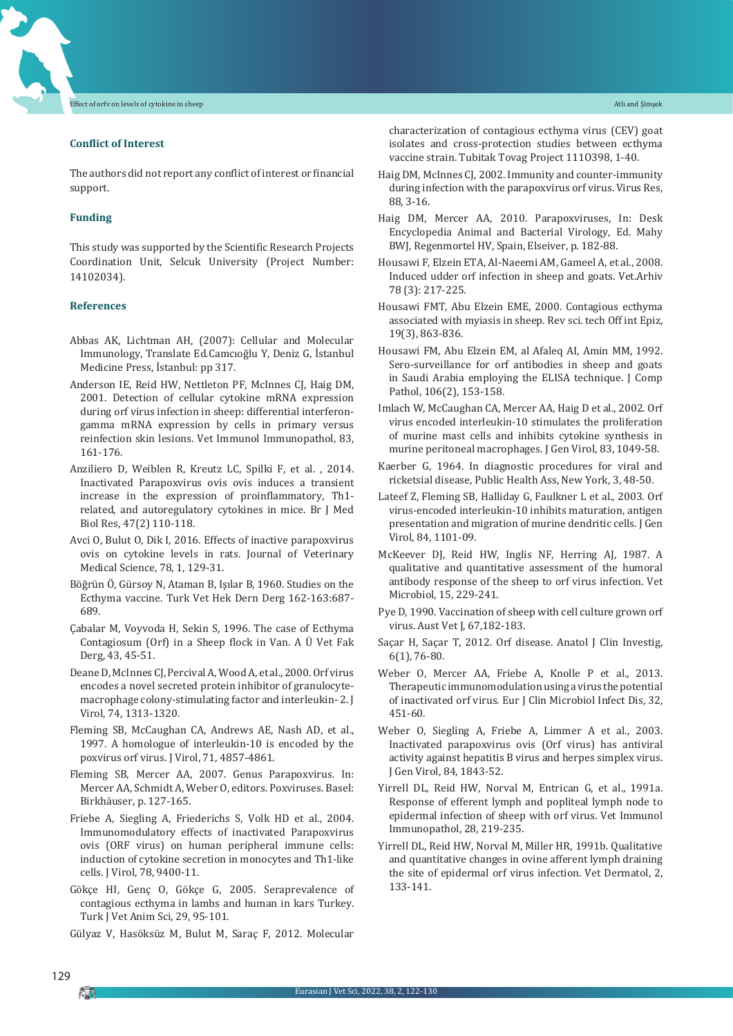#### **Conflict of Interest**

The authors did not report any conflict of interest or financial support.

#### **Funding**

This study was supported by the Scientific Research Projects Coordination Unit, Selcuk University (Project Number: 14102034).

#### **References**

- Abbas AK, Lichtman AH, (2007): Cellular and Molecular Immunology, Translate Ed.Camcıoğlu Y, Deniz G, İstanbul Medicine Press, İstanbul: pp 317.
- Anderson IE, Reid HW, Nettleton PF, McInnes CJ, Haig DM, 2001. Detection of cellular cytokine mRNA expression during orf virus infection in sheep: differential interferongamma mRNA expression by cells in primary versus reinfection skin lesions. Vet Immunol Immunopathol, 83, 161-176.
- Anziliero D, Weiblen R, Kreutz LC, Spilki F, et al. , 2014. Inactivated Parapoxvirus ovis ovis induces a transient increase in the expression of proinflammatory, Th1 related, and autoregulatory cytokines in mice. Br J Med Biol Res, 47(2) 110-118.
- Avci O, Bulut O, Dik I, 2016. Effects of inactive parapoxvirus ovis on cytokine levels in rats. Journal of Veterinary Medical Science, 78, 1, 129-31.
- Böğrün Ö, Gürsoy N, Ataman B, Işılar B, 1960. Studies on the Ecthyma vaccine. Turk Vet Hek Dern Derg 162-163:687- 689.
- Çabalar M, Voyvoda H, Sekin S, 1996. The case of Ecthyma Contagiosum (Orf) in a Sheep flock in Van. A Ü Vet Fak Derg, 43, 45-51.
- Deane D, McInnes CJ, Percival A, Wood A, et al., 2000. Orf virus encodes a novel secreted protein inhibitor of granulocytemacrophage colony-stimulating factor and interleukin- 2. J Virol, 74, 1313-1320.
- Fleming SB, McCaughan CA, Andrews AE, Nash AD, et al., 1997. A homologue of interleukin-10 is encoded by the poxvirus orf virus. J Virol, 71, 4857-4861.
- Fleming SB, Mercer AA, 2007. Genus Parapoxvirus. In: Mercer AA, Schmidt A, Weber O, editors. Poxviruses. Basel: Birkhäuser, p. 127-165.
- Friebe A, Siegling A, Friederichs S, Volk HD et al., 2004. Immunomodulatory effects of inactivated Parapoxvirus ovis (ORF virus) on human peripheral immune cells: induction of cytokine secretion in monocytes and Th1-like cells. J Virol, 78, 9400-11.
- Gökçe HI, Genç O, Gökçe G, 2005. Seraprevalence of contagious ecthyma in lambs and human in kars Turkey. Turk J Vet Anim Sci, 29, 95-101.

Gülyaz V, Hasöksüz M, Bulut M, Saraç F, 2012. Molecular

characterization of contagious ecthyma virus (CEV) goat isolates and cross-protection studies between ecthyma vaccine strain. Tubitak Tovag Project 111O398, 1-40.

- Haig DM, McInnes CJ, 2002. Immunity and counter-immunity during infection with the parapoxvirus orf virus. Virus Res, 88, 3-16.
- Haig DM, Mercer AA, 2010. Parapoxviruses, In: Desk Encyclopedia Animal and Bacterial Virology, Ed. Mahy BWJ, Regenmortel HV, Spain, Elseiver, p. 182-88.
- Housawi F, Elzein ETA, Al-Naeemi AM, Gameel A, et al., 2008. Induced udder orf infection in sheep and goats. Vet.Arhiv 78 (3): 217-225.
- Housawi FMT, Abu Elzein EME, 2000. Contagious ecthyma associated with myiasis in sheep. Rev sci. tech Off int Epiz, 19(3), 863-836.
- Housawi FM, Abu Elzein EM, al Afaleq AI, Amin MM, 1992. Sero-surveillance for orf antibodies in sheep and goats in Saudi Arabia employing the ELISA technique. J Comp Pathol, 106(2), 153-158.
- Imlach W, McCaughan CA, Mercer AA, Haig D et al., 2002. Orf virus encoded interleukin-10 stimulates the proliferation of murine mast cells and inhibits cytokine synthesis in murine peritoneal macrophages. J Gen Virol, 83, 1049-58.
- Kaerber G, 1964. In diagnostic procedures for viral and ricketsial disease, Public Health Ass, New York, 3, 48-50.
- Lateef Z, Fleming SB, Halliday G, Faulkner L et al., 2003. Orf virus-encoded interleukin-10 inhibits maturation, antigen presentation and migration of murine dendritic cells. J Gen Virol, 84, 1101-09.
- McKeever DJ, Reid HW, Inglis NF, Herring AJ, 1987. A qualitative and quantitative assessment of the humoral antibody response of the sheep to orf virus infection. Vet Microbiol, 15, 229-241.
- Pye D, 1990. Vaccination of sheep with cell culture grown orf virus. Aust Vet J, 67,182-183.
- Saçar H, Saçar T, 2012. Orf disease. Anatol J Clin Investig, 6(1), 76-80.
- Weber O, Mercer AA, Friebe A, Knolle P et al., 2013. Therapeutic immunomodulation using a virus the potential of inactivated orf virus. Eur J Clin Microbiol Infect Dis, 32, 451-60.
- Weber O, Siegling A, Friebe A, Limmer A et al., 2003. Inactivated parapoxvirus ovis (Orf virus) has antiviral activity against hepatitis B virus and herpes simplex virus. J Gen Virol, 84, 1843-52.
- Yirrell DL, Reid HW, Norval M, Entrican G, et al., 1991a. Response of efferent lymph and popliteal lymph node to epidermal infection of sheep with orf virus. Vet Immunol Immunopathol, 28, 219-235.
- Yirrell DL, Reid HW, Norval M, Miller HR, 1991b. Qualitative and quantitative changes in ovine afferent lymph draining the site of epidermal orf virus infection. Vet Dermatol, 2, 133-141.